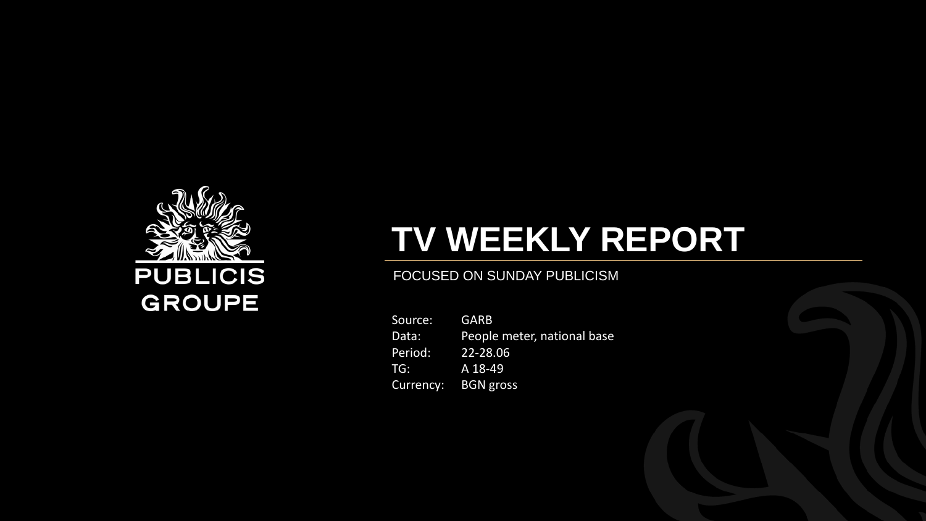

# **TV WEEKLY REPORT**

#### FOCUSED ON SUNDAY PUBLICISM

Source: GARB Data: People meter, national base Period: 22-28.06 TG: A 18-49 Currency: BGN gross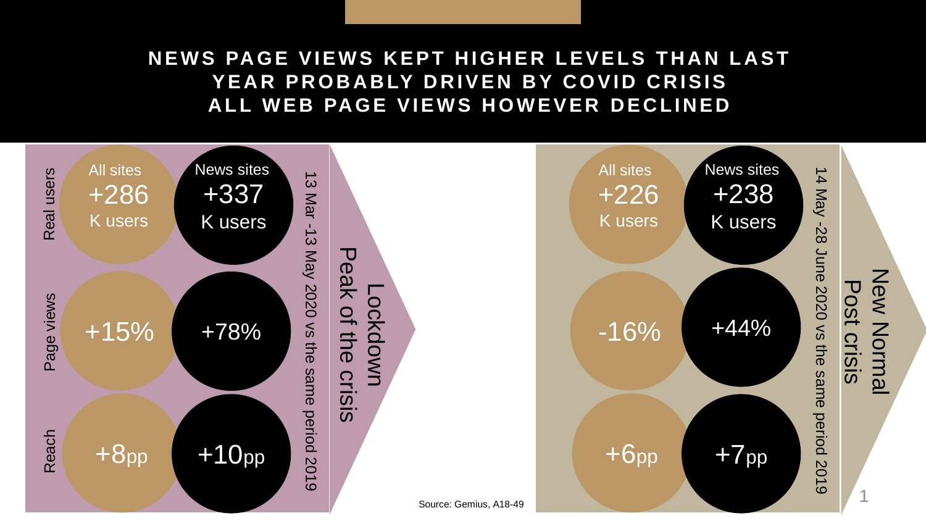### **NEWS PAGE VIEWS KEPT HIGHER LEVELS THAN LAST YEAR PROBABLY DRIVEN BY COVID CRISIS ALL WEB PAGE VIEWS HOWEVER DECLINED**

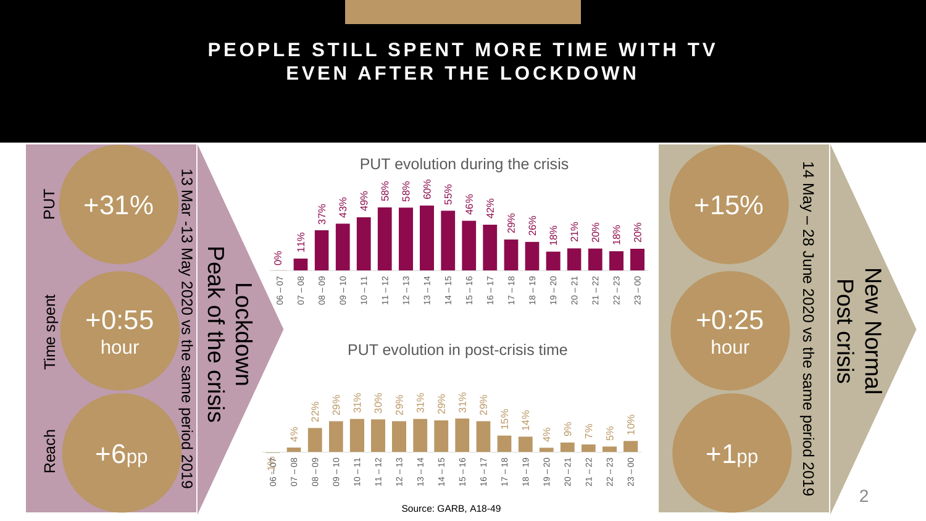# **P E O P L E S T I L L S P E N T M O R E T I M E W I T H T V EVEN AFTER THE LOCKDOWN**



Source: GARB, A18-49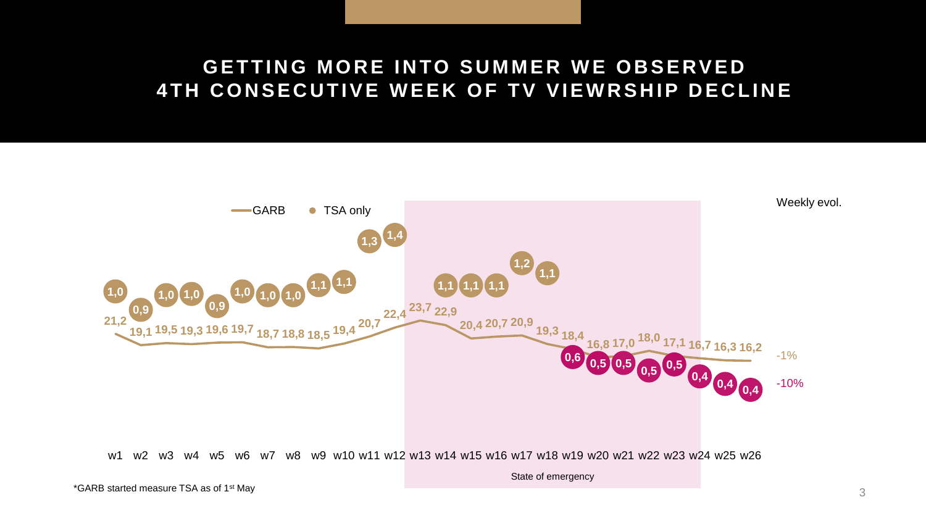### **GETTING MORE INTO SUMMER WE OBSERVED 4TH CONSECUTIVE WEEK OF TV VIEWRSHIP DECLINE**

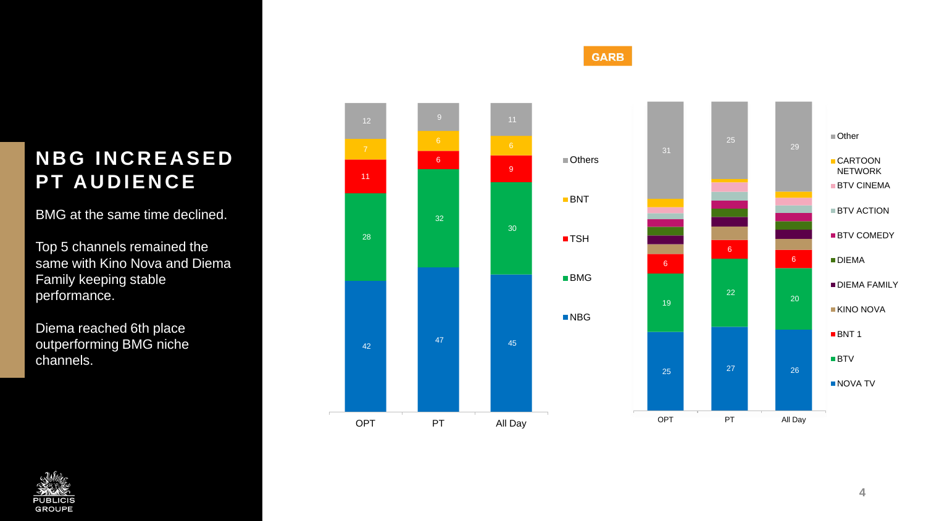# **N B G I N C R E A S E D PT AUDIENCE**

BMG at the same time declined.

Top 5 channels remained the same with Kino Nova and Diema Family keeping stable performance.

Diema reached 6th place outperforming BMG niche channels.



**GARB** 



**4**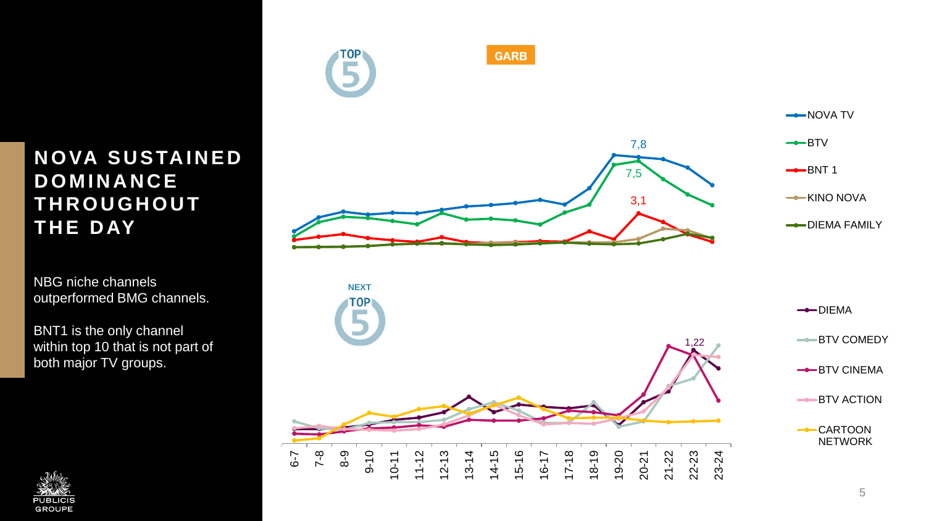# **N O VA S U S TA I N E D D O M I N A N C E T H R O U G H O U T T H E D AY**

NBG niche channels **NEXT** outperformed BMG channels.

BNT1 is the only channel within top 10 that is not part of both major TV groups.



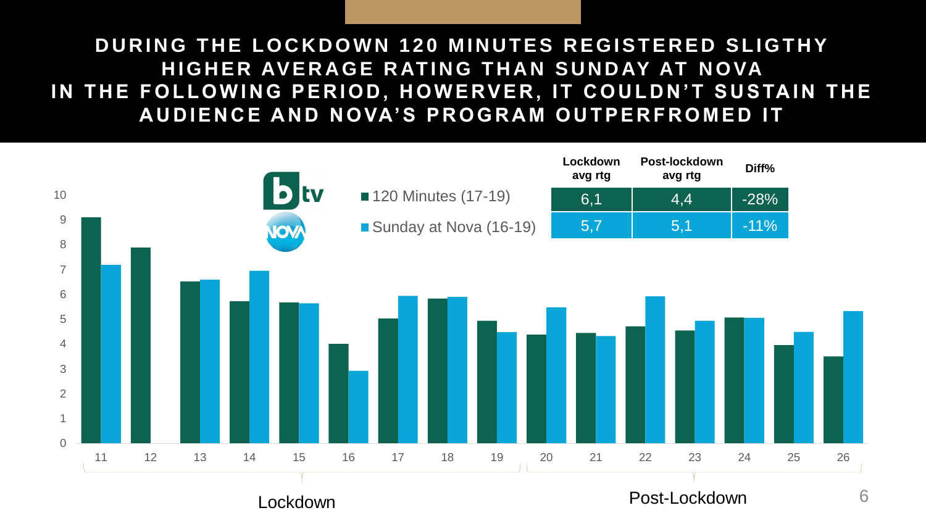# **DURING THE LOCKDOWN 120 MINUTES REGISTERED SLIGTHY HIGHER AVERAGE RATING THAN SUNDAY AT NOVA** IN THE FOLLOWING PERIOD, HOWERVER, IT COULDN'T SUSTAIN THE **AUDIENCE AND NOVA'S PROGRAM OUTPERFROMED IT**

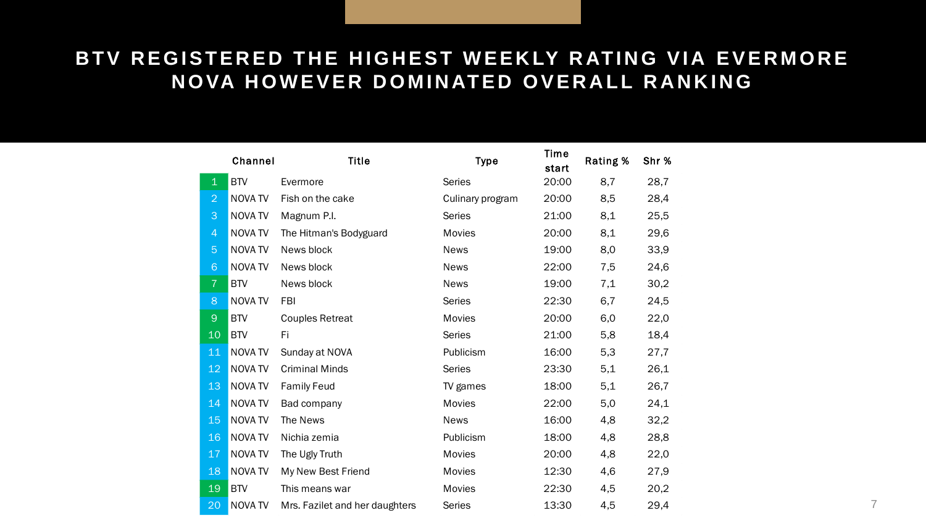### BTV REGISTERED THE HIGHEST WEEKLY RATING VIA EVERMORE **NOVA HOWEVER DOMINATED OVERALL RANKING**

|                 | Channel        | <b>Title</b>                   | <b>Type</b>      | Time<br>start | Rating % | Shr % |
|-----------------|----------------|--------------------------------|------------------|---------------|----------|-------|
| $\mathbf{1}$    | <b>BTV</b>     | Evermore                       | <b>Series</b>    | 20:00         | 8,7      | 28,7  |
| $\overline{2}$  | <b>NOVA TV</b> | Fish on the cake               | Culinary program | 20:00         | 8,5      | 28,4  |
| 3               | <b>NOVATV</b>  | Magnum P.I.                    | <b>Series</b>    | 21:00         | 8,1      | 25,5  |
| $\overline{4}$  | <b>NOVATV</b>  | The Hitman's Bodyguard         | Movies           | 20:00         | 8,1      | 29,6  |
| $\overline{5}$  | NOVA TV        | News block                     | <b>News</b>      | 19:00         | 8,0      | 33,9  |
| $6\phantom{1}6$ | <b>NOVATV</b>  | News block                     | <b>News</b>      | 22:00         | 7,5      | 24,6  |
| $\overline{7}$  | <b>BTV</b>     | News block                     | <b>News</b>      | 19:00         | 7,1      | 30,2  |
| 8               | <b>NOVATV</b>  | <b>FBI</b>                     | <b>Series</b>    | 22:30         | 6,7      | 24,5  |
| $\Theta$        | <b>BTV</b>     | <b>Couples Retreat</b>         | Movies           | 20:00         | 6,0      | 22,0  |
| 10              | <b>BTV</b>     | Fi                             | <b>Series</b>    | 21:00         | 5,8      | 18,4  |
| 11              | <b>NOVA TV</b> | Sunday at NOVA                 | Publicism        | 16:00         | 5,3      | 27,7  |
| 12              | <b>NOVATV</b>  | <b>Criminal Minds</b>          | <b>Series</b>    | 23:30         | 5,1      | 26,1  |
| 13              | NOVA TV        | <b>Family Feud</b>             | TV games         | 18:00         | 5,1      | 26,7  |
| 14              | <b>NOVA TV</b> | Bad company                    | Movies           | 22:00         | 5,0      | 24,1  |
| 15              | NOVA TV        | The News                       | <b>News</b>      | 16:00         | 4,8      | 32,2  |
| 16              | <b>NOVA TV</b> | Nichia zemia                   | Publicism        | 18:00         | 4,8      | 28,8  |
| 17              | NOVA TV        | The Ugly Truth                 | Movies           | 20:00         | 4,8      | 22,0  |
| 18              | <b>NOVA TV</b> | My New Best Friend             | Movies           | 12:30         | 4,6      | 27,9  |
| 19              | <b>BTV</b>     | This means war                 | Movies           | 22:30         | 4,5      | 20,2  |
| 20              | <b>NOVATV</b>  | Mrs. Fazilet and her daughters | <b>Series</b>    | 13:30         | 4,5      | 29,4  |